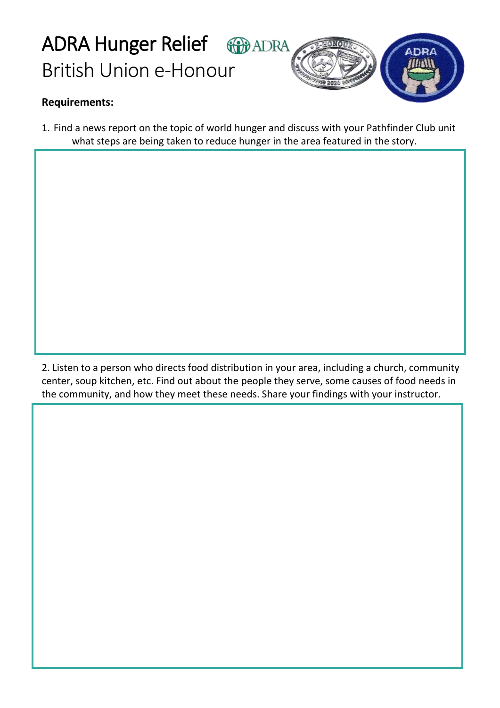## ADRA Hunger Relief **GB**ADRA British Union e-Honour



## **Requirements:**

1. Find a news report on the topic of world hunger and discuss with your Pathfinder Club unit what steps are being taken to reduce hunger in the area featured in the story.

2. Listen to a person who directs food distribution in your area, including a church, community center, soup kitchen, etc. Find out about the people they serve, some causes of food needs in the community, and how they meet these needs. Share your findings with your instructor.